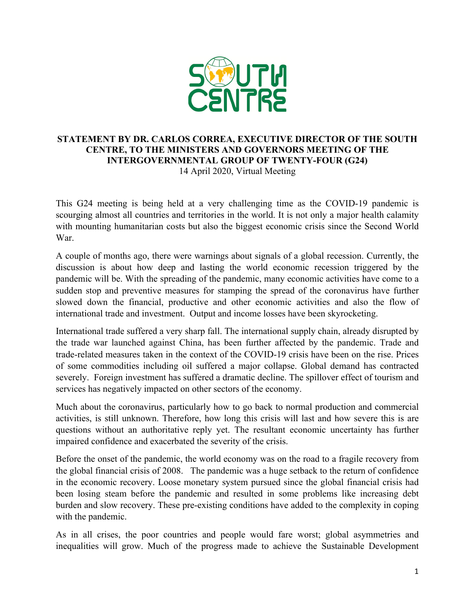

## **STATEMENT BY DR. CARLOS CORREA, EXECUTIVE DIRECTOR OF THE SOUTH CENTRE, TO THE MINISTERS AND GOVERNORS MEETING OF THE INTERGOVERNMENTAL GROUP OF TWENTY-FOUR (G24)** 14 April 2020, Virtual Meeting

This G24 meeting is being held at a very challenging time as the COVID-19 pandemic is scourging almost all countries and territories in the world. It is not only a major health calamity with mounting humanitarian costs but also the biggest economic crisis since the Second World War.

A couple of months ago, there were warnings about signals of a global recession. Currently, the discussion is about how deep and lasting the world economic recession triggered by the pandemic will be. With the spreading of the pandemic, many economic activities have come to a sudden stop and preventive measures for stamping the spread of the coronavirus have further slowed down the financial, productive and other economic activities and also the flow of international trade and investment. Output and income losses have been skyrocketing.

International trade suffered a very sharp fall. The international supply chain, already disrupted by the trade war launched against China, has been further affected by the pandemic. Trade and trade-related measures taken in the context of the COVID-19 crisis have been on the rise. Prices of some commodities including oil suffered a major collapse. Global demand has contracted severely. Foreign investment has suffered a dramatic decline. The spillover effect of tourism and services has negatively impacted on other sectors of the economy.

Much about the coronavirus, particularly how to go back to normal production and commercial activities, is still unknown. Therefore, how long this crisis will last and how severe this is are questions without an authoritative reply yet. The resultant economic uncertainty has further impaired confidence and exacerbated the severity of the crisis.

Before the onset of the pandemic, the world economy was on the road to a fragile recovery from the global financial crisis of 2008. The pandemic was a huge setback to the return of confidence in the economic recovery. Loose monetary system pursued since the global financial crisis had been losing steam before the pandemic and resulted in some problems like increasing debt burden and slow recovery. These pre-existing conditions have added to the complexity in coping with the pandemic.

As in all crises, the poor countries and people would fare worst; global asymmetries and inequalities will grow. Much of the progress made to achieve the Sustainable Development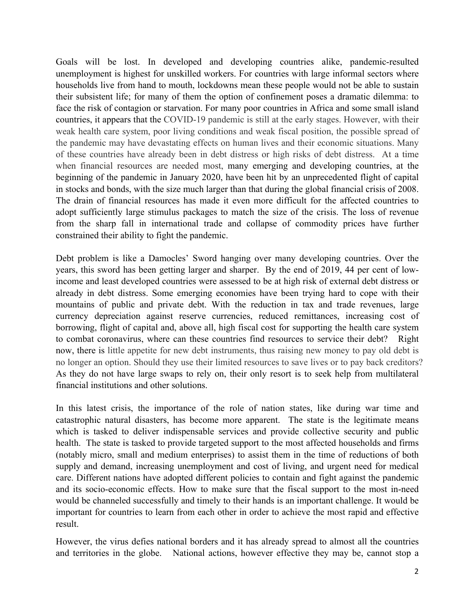Goals will be lost. In developed and developing countries alike, pandemic-resulted unemployment is highest for unskilled workers. For countries with large informal sectors where households live from hand to mouth, lockdowns mean these people would not be able to sustain their subsistent life; for many of them the option of confinement poses a dramatic dilemma: to face the risk of contagion or starvation. For many poor countries in Africa and some small island countries, it appears that the COVID-19 pandemic is still at the early stages. However, with their weak health care system, poor living conditions and weak fiscal position, the possible spread of the pandemic may have devastating effects on human lives and their economic situations. Many of these countries have already been in debt distress or high risks of debt distress. At a time when financial resources are needed most, many emerging and developing countries, at the beginning of the pandemic in January 2020, have been hit by an unprecedented flight of capital in stocks and bonds, with the size much larger than that during the global financial crisis of 2008. The drain of financial resources has made it even more difficult for the affected countries to adopt sufficiently large stimulus packages to match the size of the crisis. The loss of revenue from the sharp fall in international trade and collapse of commodity prices have further constrained their ability to fight the pandemic.

Debt problem is like a Damocles' Sword hanging over many developing countries. Over the years, this sword has been getting larger and sharper. By the end of 2019, 44 per cent of lowincome and least developed countries were assessed to be at high risk of external debt distress or already in debt distress. Some emerging economies have been trying hard to cope with their mountains of public and private debt. With the reduction in tax and trade revenues, large currency depreciation against reserve currencies, reduced remittances, increasing cost of borrowing, flight of capital and, above all, high fiscal cost for supporting the health care system to combat coronavirus, where can these countries find resources to service their debt? Right now, there is little appetite for new debt instruments, thus raising new money to pay old debt is no longer an option. Should they use their limited resources to save lives or to pay back creditors? As they do not have large swaps to rely on, their only resort is to seek help from multilateral financial institutions and other solutions.

In this latest crisis, the importance of the role of nation states, like during war time and catastrophic natural disasters, has become more apparent. The state is the legitimate means which is tasked to deliver indispensable services and provide collective security and public health. The state is tasked to provide targeted support to the most affected households and firms (notably micro, small and medium enterprises) to assist them in the time of reductions of both supply and demand, increasing unemployment and cost of living, and urgent need for medical care. Different nations have adopted different policies to contain and fight against the pandemic and its socio-economic effects. How to make sure that the fiscal support to the most in-need would be channeled successfully and timely to their hands is an important challenge. It would be important for countries to learn from each other in order to achieve the most rapid and effective result.

However, the virus defies national borders and it has already spread to almost all the countries and territories in the globe. National actions, however effective they may be, cannot stop a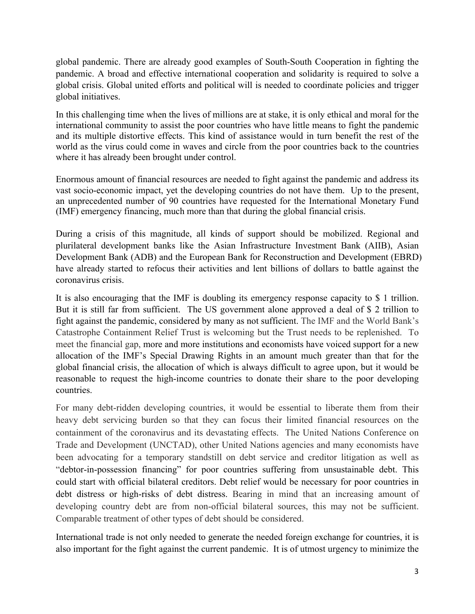global pandemic. There are already good examples of South-South Cooperation in fighting the pandemic. A broad and effective international cooperation and solidarity is required to solve a global crisis. Global united efforts and political will is needed to coordinate policies and trigger global initiatives.

In this challenging time when the lives of millions are at stake, it is only ethical and moral for the international community to assist the poor countries who have little means to fight the pandemic and its multiple distortive effects. This kind of assistance would in turn benefit the rest of the world as the virus could come in waves and circle from the poor countries back to the countries where it has already been brought under control.

Enormous amount of financial resources are needed to fight against the pandemic and address its vast socio-economic impact, yet the developing countries do not have them. Up to the present, an unprecedented number of 90 countries have requested for the International Monetary Fund (IMF) emergency financing, much more than that during the global financial crisis.

During a crisis of this magnitude, all kinds of support should be mobilized. Regional and plurilateral development banks like the Asian Infrastructure Investment Bank (AIIB), Asian Development Bank (ADB) and the European Bank for Reconstruction and Development (EBRD) have already started to refocus their activities and lent billions of dollars to battle against the coronavirus crisis.

It is also encouraging that the IMF is doubling its emergency response capacity to \$ 1 trillion. But it is still far from sufficient. The US government alone approved a deal of \$ 2 trillion to fight against the pandemic, considered by many as not sufficient. The IMF and the World Bank's Catastrophe Containment Relief Trust is welcoming but the Trust needs to be replenished. To meet the financial gap, more and more institutions and economists have voiced support for a new allocation of the IMF's Special Drawing Rights in an amount much greater than that for the global financial crisis, the allocation of which is always difficult to agree upon, but it would be reasonable to request the high-income countries to donate their share to the poor developing countries.

For many debt-ridden developing countries, it would be essential to liberate them from their heavy debt servicing burden so that they can focus their limited financial resources on the containment of the coronavirus and its devastating effects. The United Nations Conference on Trade and Development (UNCTAD), other United Nations agencies and many economists have been advocating for a temporary standstill on debt service and creditor litigation as well as "debtor-in-possession financing" for poor countries suffering from unsustainable debt. This could start with official bilateral creditors. Debt relief would be necessary for poor countries in debt distress or high-risks of debt distress. Bearing in mind that an increasing amount of developing country debt are from non-official bilateral sources, this may not be sufficient. Comparable treatment of other types of debt should be considered.

International trade is not only needed to generate the needed foreign exchange for countries, it is also important for the fight against the current pandemic. It is of utmost urgency to minimize the